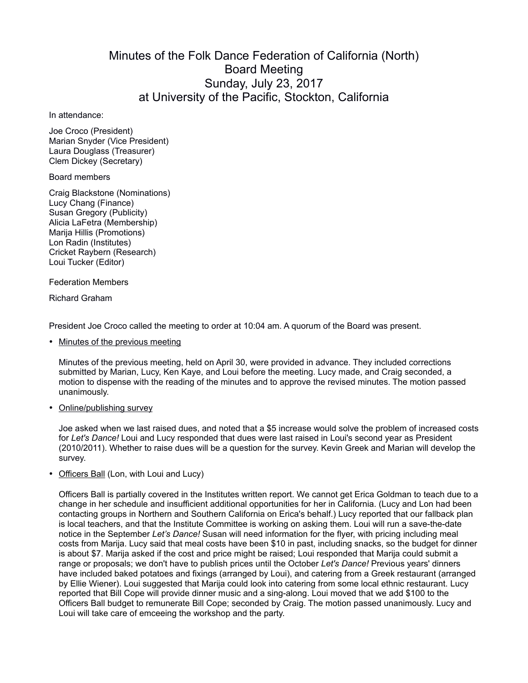## Minutes of the Folk Dance Federation of California (North) Board Meeting Sunday, July 23, 2017 at University of the Pacific, Stockton, California

## In attendance:

Joe Croco (President) Marian Snyder (Vice President) Laura Douglass (Treasurer) Clem Dickey (Secretary)

## Board members

Craig Blackstone (Nominations) Lucy Chang (Finance) Susan Gregory (Publicity) Alicia LaFetra (Membership) Marija Hillis (Promotions) Lon Radin (Institutes) Cricket Raybern (Research) Loui Tucker (Editor)

Federation Members

Richard Graham

President Joe Croco called the meeting to order at 10:04 am. A quorum of the Board was present.

• Minutes of the previous meeting

Minutes of the previous meeting, held on April 30, were provided in advance. They included corrections submitted by Marian, Lucy, Ken Kaye, and Loui before the meeting. Lucy made, and Craig seconded, a motion to dispense with the reading of the minutes and to approve the revised minutes. The motion passed unanimously.

• Online/publishing survey

Joe asked when we last raised dues, and noted that a \$5 increase would solve the problem of increased costs for *Let's Dance!* Loui and Lucy responded that dues were last raised in Loui's second year as President (2010/2011). Whether to raise dues will be a question for the survey. Kevin Greek and Marian will develop the survey.

• Officers Ball (Lon, with Loui and Lucy)

Officers Ball is partially covered in the Institutes written report. We cannot get Erica Goldman to teach due to a change in her schedule and insufficient additional opportunities for her in California. (Lucy and Lon had been contacting groups in Northern and Southern California on Erica's behalf.) Lucy reported that our fallback plan is local teachers, and that the Institute Committee is working on asking them. Loui will run a save-the-date notice in the September *Let's Dance!* Susan will need information for the flyer, with pricing including meal costs from Marija. Lucy said that meal costs have been \$10 in past, including snacks, so the budget for dinner is about \$7. Marija asked if the cost and price might be raised; Loui responded that Marija could submit a range or proposals; we don't have to publish prices until the October *Let's Dance!* Previous years' dinners have included baked potatoes and fixings (arranged by Loui), and catering from a Greek restaurant (arranged by Ellie Wiener). Loui suggested that Marija could look into catering from some local ethnic restaurant. Lucy reported that Bill Cope will provide dinner music and a sing-along. Loui moved that we add \$100 to the Officers Ball budget to remunerate Bill Cope; seconded by Craig. The motion passed unanimously. Lucy and Loui will take care of emceeing the workshop and the party.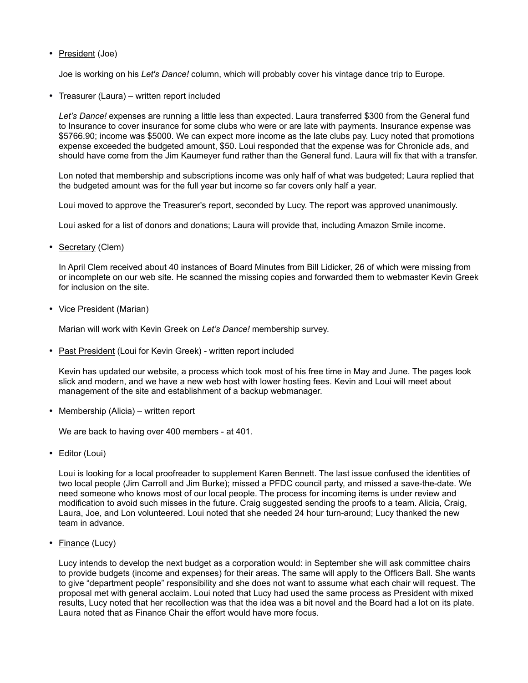• President (Joe)

Joe is working on his *Let's Dance!* column, which will probably cover his vintage dance trip to Europe.

• Treasurer (Laura) – written report included

*Let's Dance!* expenses are running a little less than expected. Laura transferred \$300 from the General fund to Insurance to cover insurance for some clubs who were or are late with payments. Insurance expense was \$5766.90; income was \$5000. We can expect more income as the late clubs pay. Lucy noted that promotions expense exceeded the budgeted amount, \$50. Loui responded that the expense was for Chronicle ads, and should have come from the Jim Kaumeyer fund rather than the General fund. Laura will fix that with a transfer.

Lon noted that membership and subscriptions income was only half of what was budgeted; Laura replied that the budgeted amount was for the full year but income so far covers only half a year.

Loui moved to approve the Treasurer's report, seconded by Lucy. The report was approved unanimously.

Loui asked for a list of donors and donations; Laura will provide that, including Amazon Smile income.

• Secretary (Clem)

In April Clem received about 40 instances of Board Minutes from Bill Lidicker, 26 of which were missing from or incomplete on our web site. He scanned the missing copies and forwarded them to webmaster Kevin Greek for inclusion on the site.

• Vice President (Marian)

Marian will work with Kevin Greek on *Let's Dance!* membership survey.

• Past President (Loui for Kevin Greek) - written report included

Kevin has updated our website, a process which took most of his free time in May and June. The pages look slick and modern, and we have a new web host with lower hosting fees. Kevin and Loui will meet about management of the site and establishment of a backup webmanager.

• Membership (Alicia) – written report

We are back to having over 400 members - at 401.

• Editor (Loui)

Loui is looking for a local proofreader to supplement Karen Bennett. The last issue confused the identities of two local people (Jim Carroll and Jim Burke); missed a PFDC council party, and missed a save-the-date. We need someone who knows most of our local people. The process for incoming items is under review and modification to avoid such misses in the future. Craig suggested sending the proofs to a team. Alicia, Craig, Laura, Joe, and Lon volunteered. Loui noted that she needed 24 hour turn-around; Lucy thanked the new team in advance.

• Finance (Lucy)

Lucy intends to develop the next budget as a corporation would: in September she will ask committee chairs to provide budgets (income and expenses) for their areas. The same will apply to the Officers Ball. She wants to give "department people" responsibility and she does not want to assume what each chair will request. The proposal met with general acclaim. Loui noted that Lucy had used the same process as President with mixed results, Lucy noted that her recollection was that the idea was a bit novel and the Board had a lot on its plate. Laura noted that as Finance Chair the effort would have more focus.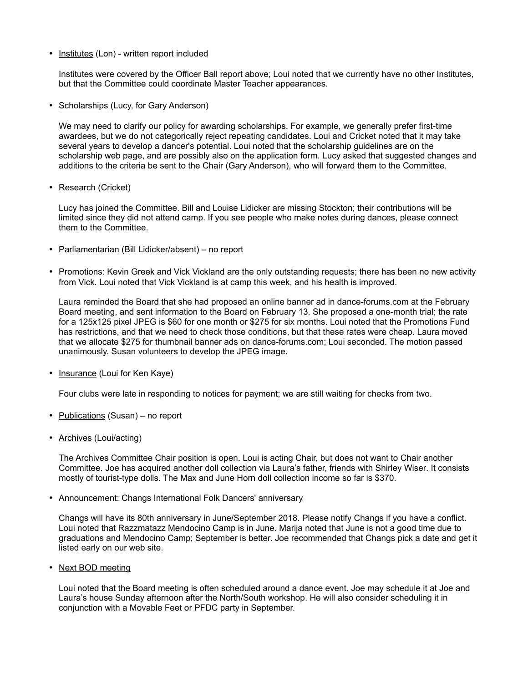• Institutes (Lon) - written report included

Institutes were covered by the Officer Ball report above; Loui noted that we currently have no other Institutes, but that the Committee could coordinate Master Teacher appearances.

• Scholarships (Lucy, for Gary Anderson)

We may need to clarify our policy for awarding scholarships. For example, we generally prefer first-time awardees, but we do not categorically reject repeating candidates. Loui and Cricket noted that it may take several years to develop a dancer's potential. Loui noted that the scholarship guidelines are on the scholarship web page, and are possibly also on the application form. Lucy asked that suggested changes and additions to the criteria be sent to the Chair (Gary Anderson), who will forward them to the Committee.

• Research (Cricket)

Lucy has joined the Committee. Bill and Louise Lidicker are missing Stockton; their contributions will be limited since they did not attend camp. If you see people who make notes during dances, please connect them to the Committee.

- Parliamentarian (Bill Lidicker/absent) no report
- Promotions: Kevin Greek and Vick Vickland are the only outstanding requests; there has been no new activity from Vick. Loui noted that Vick Vickland is at camp this week, and his health is improved.

Laura reminded the Board that she had proposed an online banner ad in dance-forums.com at the February Board meeting, and sent information to the Board on February 13. She proposed a one-month trial; the rate for a 125x125 pixel JPEG is \$60 for one month or \$275 for six months. Loui noted that the Promotions Fund has restrictions, and that we need to check those conditions, but that these rates were cheap. Laura moved that we allocate \$275 for thumbnail banner ads on dance-forums.com; Loui seconded. The motion passed unanimously. Susan volunteers to develop the JPEG image.

• Insurance (Loui for Ken Kaye)

Four clubs were late in responding to notices for payment; we are still waiting for checks from two.

- Publications (Susan) no report
- Archives (Loui/acting)

The Archives Committee Chair position is open. Loui is acting Chair, but does not want to Chair another Committee. Joe has acquired another doll collection via Laura's father, friends with Shirley Wiser. It consists mostly of tourist-type dolls. The Max and June Horn doll collection income so far is \$370.

• Announcement: Changs International Folk Dancers' anniversary

Changs will have its 80th anniversary in June/September 2018. Please notify Changs if you have a conflict. Loui noted that Razzmatazz Mendocino Camp is in June. Marija noted that June is not a good time due to graduations and Mendocino Camp; September is better. Joe recommended that Changs pick a date and get it listed early on our web site.

• Next BOD meeting

Loui noted that the Board meeting is often scheduled around a dance event. Joe may schedule it at Joe and Laura's house Sunday afternoon after the North/South workshop. He will also consider scheduling it in conjunction with a Movable Feet or PFDC party in September.